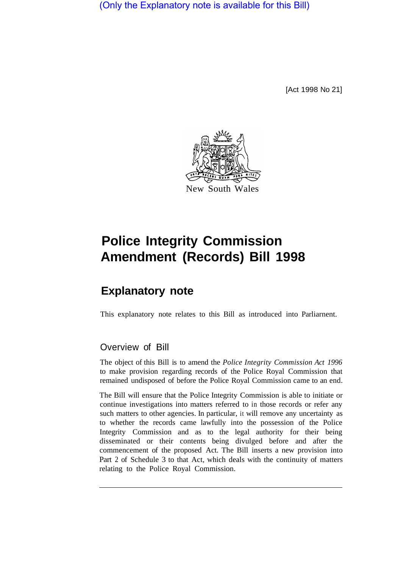(Only the Explanatory note is available for this Bill)

[Act 1998 No 21]



# **Police Integrity Commission Amendment (Records) Bill 1998**

## **Explanatory note**

This explanatory note relates to this Bill as introduced into Parliament.

#### Overview of Bill

The object of this Bill is to amend the *Police Integrity Commission Act 1996*  to make provision regarding records of the Police Royal Commission that remained undisposed of before the Police Royal Commission came to an end.

The Bill will ensure that the Police Integrity Commission is able to initiate or continue investigations into matters referred to in those records or refer any such matters to other agencies. In particular, it will remove any uncertainty as to whether the records came lawfully into the possession of the Police Integrity Commission and as to the legal authority for their being disseminated or their contents being divulged before and after the commencement of the proposed Act. The Bill inserts a new provision into Part 2 of Schedule 3 to that Act, which deals with the continuity of matters relating to the Police Royal Commission.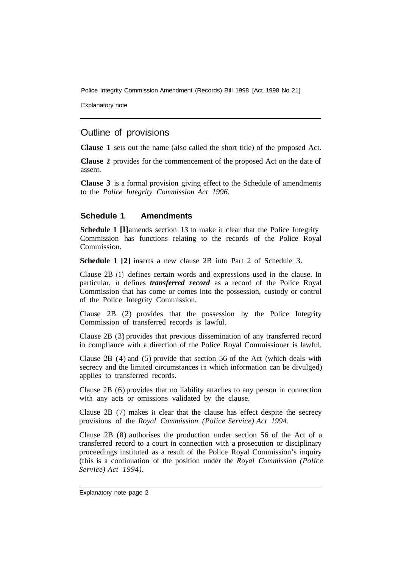Police Integrity Commission Amendment (Records) Bill 1998 [Act 1998 No 21]

Explanatory note

### Outline of provisions

**Clause 1** sets out the name (also called the short title) of the proposed Act.

**Clause 2** provides for the commencement of the proposed Act on the date of assent.

**Clause 3** is a formal provision giving effect to the Schedule of amendments to the *Police Integrity Commission Act 1996.* 

#### **Schedule 1 Amendments**

**Schedule 1 [I]**amends section 13 to make it clear that the Police Integrity Commission has functions relating to the records of the Police Royal Commission.

**Schedule 1 [2]** inserts a new clause 2B into Part 2 of Schedule 3.

Clause 2B **(1)** defines certain words and expressions used in the clause. In particular, it defines *transferred record* as a record of the Police Royal Commission that has come or comes into the possession, custody or control of the Police Integrity Commission.

Clause 2B (2) provides that the possession by the Police Integrity Commission of transferred records is lawful.

Clause 2B (3) provides that previous dissemination of any transferred record in compliance with a direction of the Police Royal Commissioner is lawful.

Clause 2B (4) and (5) provide that section 56 of the Act (which deals with secrecy and the limited circumstances in which information can be divulged) applies to transferred records.

Clause 2B (6) provides that no liability attaches to any person in connection with any acts or omissions validated by the clause.

Clause 2B (7) makes it clear that the clause has effect despite the secrecy provisions of the *Royal Commission (Police Service) Act 1994.* 

Clause 2B (8) authorises the production under section 56 of the Act of a transferred record to a court in connection with a prosecution or disciplinary proceedings instituted as a result of the Police Royal Commission's inquiry (this is a continuation of the position under the *Royal Commission (Police Service) Act 1994).*